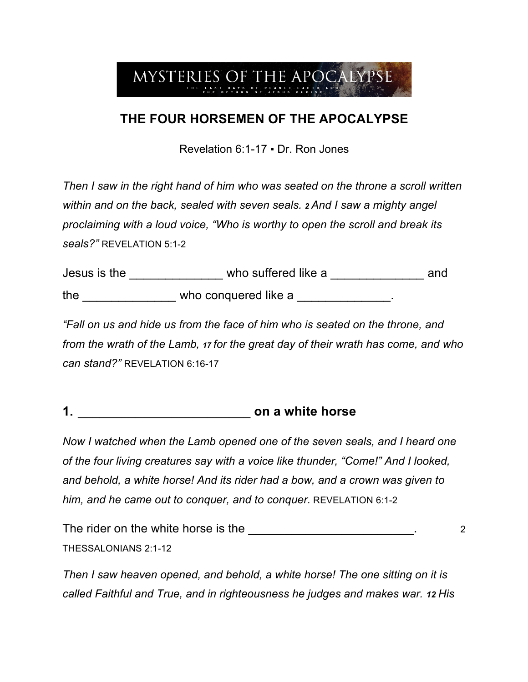## MYSTERIES OF THE APOCALYPSE

## **THE FOUR HORSEMEN OF THE APOCALYPSE**

Revelation 6:1-17 ▪ Dr. Ron Jones

*Then I saw in the right hand of him who was seated on the throne a scroll written within and on the back, sealed with seven seals. <sup>2</sup> And I saw a mighty angel proclaiming with a loud voice, "Who is worthy to open the scroll and break its seals?"* REVELATION 5:1-2

| Jesus is the | who suffered like a  | and |
|--------------|----------------------|-----|
| the          | who conquered like a |     |

*"Fall on us and hide us from the face of him who is seated on the throne, and from the wrath of the Lamb, <sup>17</sup> for the great day of their wrath has come, and who can stand?"* REVELATION 6:16-17

**1.** \_\_\_\_\_\_\_\_\_\_\_\_\_\_\_\_\_\_\_\_\_\_\_\_ **on a white horse**

*Now I watched when the Lamb opened one of the seven seals, and I heard one of the four living creatures say with a voice like thunder, "Come!" And I looked, and behold, a white horse! And its rider had a bow, and a crown was given to him, and he came out to conquer, and to conquer.* REVELATION 6:1-2

The rider on the white horse is the \_\_\_\_\_\_\_\_\_\_\_\_\_\_\_\_\_\_\_\_\_\_\_\_\_\_\_\_. 2 THESSALONIANS 2:1-12

*Then I saw heaven opened, and behold, a white horse! The one sitting on it is called Faithful and True, and in righteousness he judges and makes war. 12 His*